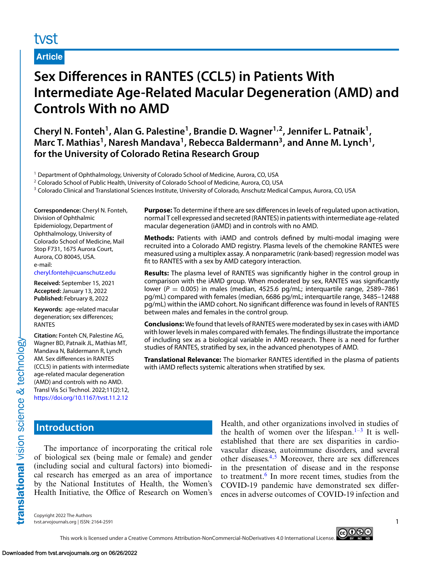# tyst

## **Article**

# **Sex Differences in RANTES (CCL5) in Patients With Intermediate Age-Related Macular Degeneration (AMD) and Controls With no AMD**

**Cheryl N. Fonteh1, Alan G. Palestine1, Brandie D. Wagner1,2, Jennifer L. Patnaik1,** Marc T. Mathias<sup>1</sup>, Naresh Mandava<sup>1</sup>, Rebecca Baldermann<sup>3</sup>, and Anne M. Lynch<sup>1</sup>, **for the University of Colorado Retina Research Group**

<sup>1</sup> Department of Ophthalmology, University of Colorado School of Medicine, Aurora, CO, USA

<sup>2</sup> Colorado School of Public Health, University of Colorado School of Medicine, Aurora, CO, USA

<sup>3</sup> Colorado Clinical and Translational Sciences Institute, University of Colorado, Anschutz Medical Campus, Aurora, CO, USA

**Correspondence:** Cheryl N. Fonteh, Division of Ophthalmic Epidemiology, Department of Ophthalmology, University of Colorado School of Medicine, Mail Stop F731, 1675 Aurora Court, Aurora, CO 80045, USA. e-mail:

[cheryl.fonteh@cuanschutz.edu](mailto:cheryl.fonteh@cuanschutz.edu)

**Received:** September 15, 2021 **Accepted:** January 13, 2022 **Published:** February 8, 2022

**Keywords:** age-related macular degeneration; sex differences; RANTES

**Citation:** Fonteh CN, Palestine AG, Wagner BD, Patnaik JL, Mathias MT, Mandava N, Baldermann R, Lynch AM. Sex differences in RANTES (CCL5) in patients with intermediate age-related macular degeneration (AMD) and controls with no AMD. Transl Vis Sci Technol. 2022;11(2):12, <https://doi.org/10.1167/tvst.11.2.12>

**Purpose:** To determine if there are sex differences in levels of regulated upon activation, normal T cell expressed and secreted (RANTES) in patients with intermediate age-related macular degeneration (iAMD) and in controls with no AMD.

**Methods:** Patients with iAMD and controls defined by multi-modal imaging were recruited into a Colorado AMD registry. Plasma levels of the chemokine RANTES were measured using a multiplex assay. A nonparametric (rank-based) regression model was fit to RANTES with a sex by AMD category interaction.

**Results:** The plasma level of RANTES was significantly higher in the control group in comparison with the iAMD group. When moderated by sex, RANTES was significantly lower ( $P = 0.005$ ) in males (median, 4525.6 pg/mL; interquartile range, 2589–7861 pg/mL) compared with females (median, 6686 pg/mL; interquartile range, 3485–12488 pg/mL) within the iAMD cohort. No significant difference was found in levels of RANTES between males and females in the control group.

**Conclusions:** We found that levels of RANTES were moderated by sex in cases with iAMD with lower levels in males compared with females. The findings illustrate the importance of including sex as a biological variable in AMD research. There is a need for further studies of RANTES, stratified by sex, in the advanced phenotypes of AMD.

**Translational Relevance:** The biomarker RANTES identified in the plasma of patients with iAMD reflects systemic alterations when stratified by sex.

# **Introduction**

translational vision science & technology

The importance of incorporating the critical role of biological sex (being male or female) and gender (including social and cultural factors) into biomedical research has emerged as an area of importance by the National Institutes of Health, the Women's Health Initiative, the Office of Research on Women's Health, and other organizations involved in studies of the health of women over the lifespan. $1-3$  It is wellestablished that there are sex disparities in cardiovascular disease, autoimmune disorders, and several other diseases.[4,5](#page-6-0) Moreover, there are sex differences in the presentation of disease and in the response to treatment.<sup>[6](#page-6-0)</sup> In more recent times, studies from the COVID-19 pandemic have demonstrated sex differences in adverse outcomes of COVID-19 infection and

Copyright 2022 The Authors tvst.arvojournals.org | ISSN: 2164-2591 1

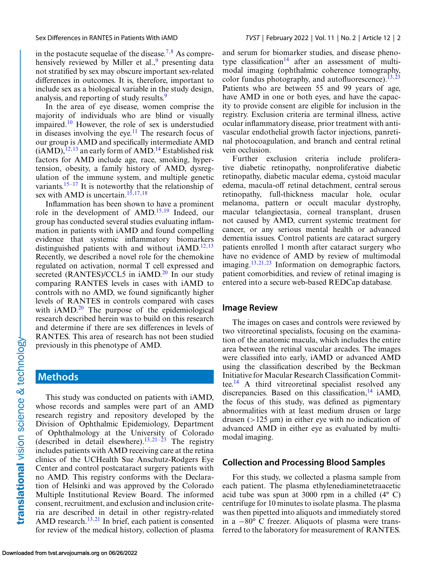in the postacute sequelae of the disease.<sup>[7,8](#page-6-0)</sup> As comprehensively reviewed by Miller et al., $9$  presenting data not stratified by sex may obscure important sex-related differences in outcomes. It is, therefore, important to include sex as a biological variable in the study design, analysis, and reporting of study results.<sup>[9](#page-6-0)</sup>

In the area of eye disease, women comprise the majority of individuals who are blind or visually impaired.[10](#page-6-0) However, the role of sex is understudied in diseases involving the eye.<sup>[11](#page-6-0)</sup> The research focus of our group is AMD and specifically intermediate AMD  $(iAMD)$ ,  $^{12,13}$  $^{12,13}$  $^{12,13}$  an early form of AMD.<sup>[14](#page-6-0)</sup> Established risk factors for AMD include age, race, smoking, hypertension, obesity, a family history of AMD, dysregulation of the immune system, and multiple genetic variants.<sup>[15–17](#page-6-0)</sup> It is noteworthy that the relationship of sex with AMD is uncertain.<sup>15,17,18</sup>

Inflammation has been shown to have a prominent role in the development of AMD[.15,](#page-6-0)[19](#page-7-0) Indeed, our group has conducted several studies evaluating inflammation in patients with iAMD and found compelling evidence that systemic inflammatory biomarkers distinguished patients with and without  $iAMD$ .<sup>12,13</sup> Recently, we described a novel role for the chemokine regulated on activation, normal T cell expressed and secreted  $(RANTES)/CCL5$  in  $iAMD.<sup>20</sup>$  $iAMD.<sup>20</sup>$  $iAMD.<sup>20</sup>$  In our study comparing RANTES levels in cases with iAMD to controls with no AMD, we found significantly higher levels of RANTES in controls compared with cases with  $iAMD<sup>20</sup>$  $iAMD<sup>20</sup>$  $iAMD<sup>20</sup>$  The purpose of the epidemiological research described herein was to build on this research and determine if there are sex differences in levels of RANTES. This area of research has not been studied previously in this phenotype of AMD.

## **Methods**

This study was conducted on patients with iAMD, whose records and samples were part of an AMD research registry and repository developed by the Division of Ophthalmic Epidemiology, Department of Ophthalmology at the University of Colorado (described in detail elsewhere).<sup>13,[21–23](#page-7-0)</sup> The registry includes patients with AMD receiving care at the retina clinics of the UCHealth Sue Anschutz-Rodgers Eye Center and control postcataract surgery patients with no AMD. This registry conforms with the Declaration of Helsinki and was approved by the Colorado Multiple Institutional Review Board. The informed consent, recruitment, and exclusion and inclusion criteria are described in detail in other registry-related AMD research. $13,21$  $13,21$  In brief, each patient is consented for review of the medical history, collection of plasma and serum for biomarker studies, and disease pheno-type classification<sup>[14](#page-6-0)</sup> after an assessment of multimodal imaging (ophthalmic coherence tomography, color fundus photography, and autofluorescence).  $\frac{13,23}{2}$  $\frac{13,23}{2}$  $\frac{13,23}{2}$ Patients who are between 55 and 99 years of age, have AMD in one or both eyes, and have the capacity to provide consent are eligible for inclusion in the registry. Exclusion criteria are terminal illness, active ocular inflammatory disease, prior treatment with antivascular endothelial growth factor injections, panretinal photocoagulation, and branch and central retinal vein occlusion.

Further exclusion criteria include proliferative diabetic retinopathy, nonproliferative diabetic retinopathy, diabetic macular edema, cystoid macular edema, macula-off retinal detachment, central serous retinopathy, full-thickness macular hole, ocular melanoma, pattern or occult macular dystrophy, macular telangiectasia, corneal transplant, drusen not caused by AMD, current systemic treatment for cancer, or any serious mental health or advanced dementia issues. Control patients are cataract surgery patients enrolled 1 month after cataract surgery who have no evidence of AMD by review of multimodal imaging.<sup>13[,21,23](#page-7-0)</sup> Information on demographic factors, patient comorbidities, and review of retinal imaging is entered into a secure web-based REDCap database.

#### **Image Review**

The images on cases and controls were reviewed by two vitreoretinal specialists, focusing on the examination of the anatomic macula, which includes the entire area between the retinal vascular arcades. The images were classified into early, iAMD or advanced AMD using the classification described by the Beckman Initiative for Macular Research Classification Commit-tee.<sup>[14](#page-6-0)</sup> A third vitreoretinal specialist resolved any discrepancies. Based on this classification,  $^{14}$  $^{14}$  $^{14}$  iAMD, the focus of this study, was defined as pigmentary abnormalities with at least medium drusen or large drusen (>125 μm) in either eye with no indication of advanced AMD in either eye as evaluated by multimodal imaging.

#### **Collection and Processing Blood Samples**

For this study, we collected a plasma sample from each patient. The plasma ethylenediaminetetraacetic acid tube was spun at 3000 rpm in a chilled (4° C) centrifuge for 10 minutes to isolate plasma. The plasma was then pipetted into aliquots and immediately stored in a −80° C freezer. Aliquots of plasma were transferred to the laboratory for measurement of RANTES.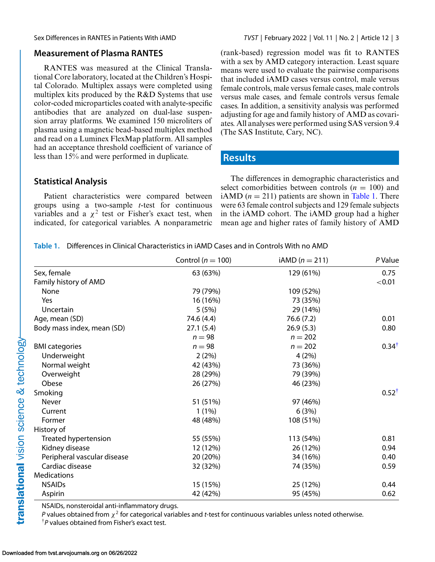### **Measurement of Plasma RANTES**

RANTES was measured at the Clinical Translational Core laboratory, located at the Children's Hospital Colorado. Multiplex assays were completed using multiplex kits produced by the R&D Systems that use color-coded microparticles coated with analyte-specific antibodies that are analyzed on dual-lase suspension array platforms. We examined 150 microliters of plasma using a magnetic bead-based multiplex method and read on a Luminex FlexMap platform. All samples had an acceptance threshold coefficient of variance of less than 15% and were performed in duplicate.

### **Statistical Analysis**

Patient characteristics were compared between groups using a two-sample *t*-test for continuous variables and a  $\chi^2$  test or Fisher's exact test, when indicated, for categorical variables. A nonparametric

Sex Differences in RANTES in Patients With iAMD *TVST* | February 2022 | Vol. 11 | No. 2 | Article 12 | 3

(rank-based) regression model was fit to RANTES with a sex by AMD category interaction. Least square means were used to evaluate the pairwise comparisons that included iAMD cases versus control, male versus female controls, male versus female cases, male controls versus male cases, and female controls versus female cases. In addition, a sensitivity analysis was performed adjusting for age and family history of AMD as covariates. All analyses were performed using SAS version 9.4 (The SAS Institute, Cary, NC).

## **Results**

The differences in demographic characteristics and select comorbidities between controls  $(n = 100)$  and iAMD  $(n = 211)$  patients are shown in Table 1. There were 63 female control subjects and 129 female subjects in the iAMD cohort. The iAMD group had a higher mean age and higher rates of family history of AMD

**Table 1.** Differences in Clinical Characteristics in iAMD Cases and in Controls With no AMD

|                             | Control ( $n = 100$ ) | $iAMD (n = 211)$ | P Value          |
|-----------------------------|-----------------------|------------------|------------------|
| Sex, female                 | 63 (63%)              | 129 (61%)        | 0.75             |
| Family history of AMD       |                       |                  | < 0.01           |
| None                        | 79 (79%)              | 109 (52%)        |                  |
| Yes                         | 16 (16%)              | 73 (35%)         |                  |
| Uncertain                   | 5(5%)                 | 29 (14%)         |                  |
| Age, mean (SD)              | 74.6 (4.4)            | 76.6 (7.2)       | 0.01             |
| Body mass index, mean (SD)  | 27.1(5.4)             | 26.9(5.3)        | 0.80             |
|                             | $n = 98$              | $n = 202$        |                  |
| <b>BMI</b> categories       | $n = 98$              | $n = 202$        | $0.34^{\dagger}$ |
| Underweight                 | 2(2%)                 | 4(2%)            |                  |
| Normal weight               | 42 (43%)              | 73 (36%)         |                  |
| Overweight                  | 28 (29%)              | 79 (39%)         |                  |
| Obese                       | 26 (27%)              | 46 (23%)         |                  |
| Smoking                     |                       |                  | $0.52^{\dagger}$ |
| Never                       | 51 (51%)              | 97 (46%)         |                  |
| Current                     | $1(1\%)$              | 6(3%)            |                  |
| Former                      | 48 (48%)              | 108 (51%)        |                  |
| History of                  |                       |                  |                  |
| Treated hypertension        | 55 (55%)              | 113 (54%)        | 0.81             |
| Kidney disease              | 12 (12%)              | 26 (12%)         | 0.94             |
| Peripheral vascular disease | 20 (20%)              | 34 (16%)         | 0.40             |
| Cardiac disease             | 32 (32%)              | 74 (35%)         | 0.59             |
| Medications                 |                       |                  |                  |
| <b>NSAIDs</b>               | 15 (15%)              | 25 (12%)         | 0.44             |
| Aspirin                     | 42 (42%)              | 95 (45%)         | 0.62             |

NSAIDs, nonsteroidal anti-inflammatory drugs.

*P* values obtained from  $\chi^2$  for categorical variables and *t*-test for continuous variables unless noted otherwise.

†*P* values obtained from Fisher's exact test.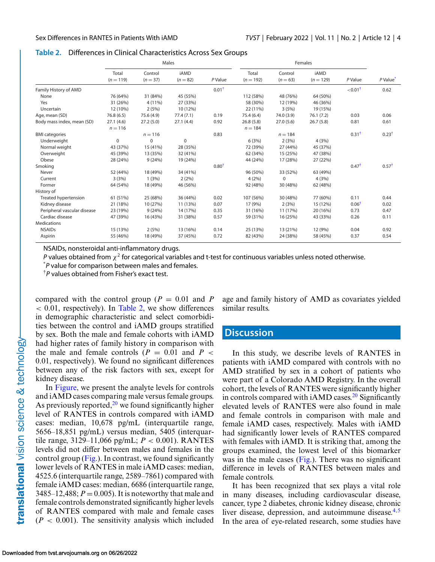#### **Table 2.** Differences in Clinical Characteristics Across Sex Groups

|                             | Males                |                       |                           | Females          |                      |                       |                            |                       |                      |
|-----------------------------|----------------------|-----------------------|---------------------------|------------------|----------------------|-----------------------|----------------------------|-----------------------|----------------------|
|                             | Total<br>$(n = 119)$ | Control<br>$(n = 37)$ | <b>iAMD</b><br>$(n = 82)$ | P Value          | Total<br>$(n = 192)$ | Control<br>$(n = 63)$ | <b>iAMD</b><br>$(n = 129)$ | P Value               | P Value <sup>*</sup> |
| Family History of AMD       |                      |                       |                           | $0.01^{\dagger}$ |                      |                       |                            | $<$ 0.01 $^{\dagger}$ | 0.62                 |
| None                        | 76 (64%)             | 31 (84%)              | 45 (55%)                  |                  | 112 (58%)            | 48 (76%)              | 64 (50%)                   |                       |                      |
| Yes                         | 31 (26%)             | 4 (11%)               | 27 (33%)                  |                  | 58 (30%)             | 12 (19%)              | 46 (36%)                   |                       |                      |
| Uncertain                   | 12 (10%)             | 2(5%)                 | 10 (12%)                  |                  | 22 (11%)             | 3(5%)                 | 19 (15%)                   |                       |                      |
| Age, mean (SD)              | 76.8(6.5)            | 75.6 (4.9)            | 77.4(7.1)                 | 0.19             | 75.4 (6.4)           | 74.0 (3.9)            | 76.1(7.2)                  | 0.03                  | 0.06                 |
| Body mass index, mean (SD)  | 27.1(4.6)            | 27.2(5.0)             | 27.1(4.4)                 | 0.92             | 26.8(5.8)            | 27.0(5.6)             | 26.7(5.8)                  | 0.81                  | 0.61                 |
|                             | $n = 116$            |                       |                           |                  | $n = 184$            |                       |                            |                       |                      |
| <b>BMI</b> categories       |                      | $n = 116$             |                           | 0.83             |                      | $n = 184$             |                            | $0.31^{\dagger}$      | $0.23^{\dagger}$     |
| Underweight                 | 0                    | $\mathbf 0$           | $\Omega$                  |                  | 6(3%)                | 2(3%)                 | 4(3%)                      |                       |                      |
| Normal weight               | 43 (37%)             | 15 (41%)              | 28 (35%)                  |                  | 72 (39%)             | 27 (44%)              | 45 (37%)                   |                       |                      |
| Overweight                  | 45 (39%)             | 13 (35%)              | 32 (41%)                  |                  | 62 (34%)             | 15 (25%)              | 47 (38%)                   |                       |                      |
| Obese                       | 28 (24%)             | 9(24%)                | 19 (24%)                  |                  | 44 (24%)             | 17 (28%)              | 27 (22%)                   |                       |                      |
| Smoking                     |                      |                       |                           | $0.80^{\dagger}$ |                      |                       |                            | $0.47^{\dagger}$      | $0.57^{\dagger}$     |
| Never                       | 52 (44%)             | 18 (49%)              | 34 (41%)                  |                  | 96 (50%)             | 33 (52%)              | 63 (49%)                   |                       |                      |
| Current                     | 3(3%)                | 1(3%)                 | 2(2%)                     |                  | 4(2%)                | $\Omega$              | 4(3%)                      |                       |                      |
| Former                      | 64 (54%)             | 18 (49%)              | 46 (56%)                  |                  | 92 (48%)             | 30 (48%)              | 62 (48%)                   |                       |                      |
| History of                  |                      |                       |                           |                  |                      |                       |                            |                       |                      |
| Treated hypertension        | 61 (51%)             | 25 (68%)              | 36 (44%)                  | 0.02             | 107 (56%)            | 30 (48%)              | 77 (60%)                   | 0.11                  | 0.44                 |
| Kidney disease              | 21 (18%)             | 10 (27%)              | 11 (13%)                  | 0.07             | 17 (9%)              | 2(3%)                 | 15 (12%)                   | $0.06$ <sup>1</sup>   | 0.02                 |
| Peripheral vascular disease | 23 (19%)             | 9(24%)                | 14 (17%)                  | 0.35             | 31 (16%)             | 11 (17%)              | 20 (16%)                   | 0.73                  | 0.47                 |
| Cardiac disease             | 47 (39%)             | 16 (43%)              | 31 (38%)                  | 0.57             | 59 (31%)             | 16 (25%)              | 43 (33%)                   | 0.26                  | 0.11                 |
| <b>Medications</b>          |                      |                       |                           |                  |                      |                       |                            |                       |                      |
| <b>NSAIDs</b>               | 15 (13%)             | 2(5%)                 | 13 (16%)                  | 0.14             | 25 (13%)             | 13 (21%)              | 12 (9%)                    | 0.04                  | 0.92                 |
| Aspirin                     | 55 (46%)             | 18 (49%)              | 37 (45%)                  | 0.72             | 82 (43%)             | 24 (38%)              | 58 (45%)                   | 0.37                  | 0.54                 |

NSAIDs, nonsteroidal anti-inflammatory drugs.

*P* values obtained from  $\chi^2$  for categorical variables and t-test for continuous variables unless noted otherwise.

\* *P* value for comparison between males and females.

†*P* values obtained from Fisher's exact test.

compared with the control group ( $P = 0.01$  and P  $< 0.01$ , respectively). In Table 2, we show differences in demographic characteristic and select comorbidities between the control and iAMD groups stratified by sex. Both the male and female cohorts with iAMD had higher rates of family history in comparison with the male and female controls  $(P = 0.01$  and  $P <$ 0.01, respectively). We found no significant differences between any of the risk factors with sex, except for kidney disease.

In [Figure,](#page-4-0) we present the analyte levels for controls and iAMD cases comparing male versus female groups. As previously reported, $^{20}$  $^{20}$  $^{20}$  we found significantly higher level of RANTES in controls compared with iAMD cases: median, 10,678 pg/mL (interquartile range, 5656–18,851 pg/mL) versus median, 5405 (interquartile range, 3129–11,066 pg/mL; *P* < 0.001). RANTES levels did not differ between males and females in the control group [\(Fig.\)](#page-4-0). In contrast, we found significantly lower levels of RANTES in male iAMD cases: median, 4525.6 (interquartile range, 2589–7861) compared with female iAMD cases: median, 6686 (interquartile range, 3485–12,488;  $P = 0.005$ ). It is noteworthy that male and female controls demonstrated significantly higher levels of RANTES compared with male and female cases  $(P < 0.001)$ . The sensitivity analysis which included

age and family history of AMD as covariates yielded similar results.

### **Discussion**

In this study, we describe levels of RANTES in patients with iAMD compared with controls with no AMD stratified by sex in a cohort of patients who were part of a Colorado AMD Registry. In the overall cohort, the levels of RANTES were significantly higher in controls compared with iAMD cases.<sup>20</sup> Significantly elevated levels of RANTES were also found in male and female controls in comparison with male and female iAMD cases, respectively. Males with iAMD had significantly lower levels of RANTES compared with females with iAMD. It is striking that, among the groups examined, the lowest level of this biomarker was in the male cases [\(Fig.\)](#page-4-0). There was no significant difference in levels of RANTES between males and female controls.

It has been recognized that sex plays a vital role in many diseases, including cardiovascular disease, cancer, type 2 diabetes, chronic kidney disease, chronic liver disease, depression, and autoimmune disease. $4.5$ In the area of eye-related research, some studies have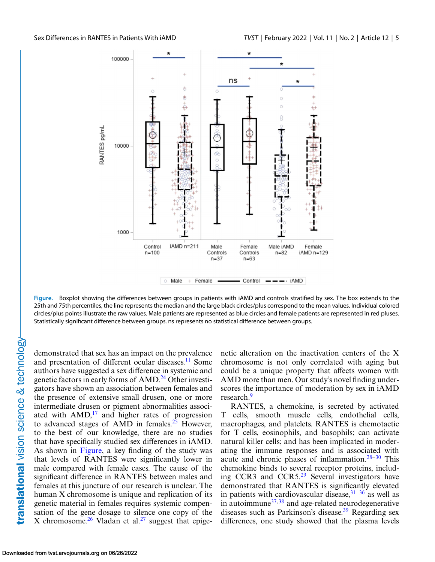<span id="page-4-0"></span>

**Figure.** Boxplot showing the differences between groups in patients with iAMD and controls stratified by sex. The box extends to the 25th and 75th percentiles, the line represents the median and the large black circles/plus correspond to the mean values. Individual colored circles/plus points illustrate the raw values. Male patients are represented as blue circles and female patients are represented in red pluses. Statistically significant difference between groups. ns represents no statistical difference between groups.

demonstrated that sex has an impact on the prevalence and presentation of different ocular diseases.<sup>[11](#page-6-0)</sup> Some authors have suggested a sex difference in systemic and genetic factors in early forms of  $\rm{AMD}^{24}$  Other investigators have shown an association between females and the presence of extensive small drusen, one or more intermediate drusen or pigment abnormalities associated with  $AMD<sup>17</sup>$  $AMD<sup>17</sup>$  $AMD<sup>17</sup>$  and higher rates of progression to advanced stages of AMD in females.<sup>[25](#page-7-0)</sup> However, to the best of our knowledge, there are no studies that have specifically studied sex differences in iAMD. As shown in Figure, a key finding of the study was that levels of RANTES were significantly lower in male compared with female cases. The cause of the significant difference in RANTES between males and females at this juncture of our research is unclear. The human X chromosome is unique and replication of its genetic material in females requires systemic compensation of the gene dosage to silence one copy of the X chromosome.<sup>[26](#page-7-0)</sup> Vladan et al.<sup>[27](#page-7-0)</sup> suggest that epigenetic alteration on the inactivation centers of the X chromosome is not only correlated with aging but could be a unique property that affects women with AMD more than men. Our study's novel finding underscores the importance of moderation by sex in iAMD research.<sup>[9](#page-6-0)</sup>

RANTES, a chemokine, is secreted by activated T cells, smooth muscle cells, endothelial cells, macrophages, and platelets. RANTES is chemotactic for T cells, eosinophils, and basophils; can activate natural killer cells; and has been implicated in moderating the immune responses and is associated with acute and chronic phases of inflammation. $28-30$  This chemokine binds to several receptor proteins, including CCR3 and CCR5[.29](#page-7-0) Several investigators have demonstrated that RANTES is significantly elevated in patients with cardiovascular disease,  $31-36$  as well as in autoimmune $37,38$  and age-related neurodegenerative diseases such as Parkinson's disease.<sup>39</sup> Regarding sex differences, one study showed that the plasma levels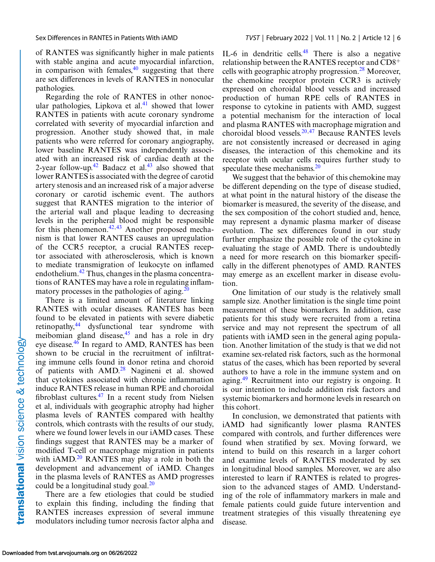of RANTES was significantly higher in male patients with stable angina and acute myocardial infarction, in comparison with females, $40$  suggesting that there are sex differences in levels of RANTES in nonocular pathologies.

Regarding the role of RANTES in other nonocular pathologies, Lipkova et al. $41$  showed that lower RANTES in patients with acute coronary syndrome correlated with severity of myocardial infarction and progression. Another study showed that, in male patients who were referred for coronary angiography, lower baseline RANTES was independently associated with an increased risk of cardiac death at the 2-year follow-up.<sup>42</sup> Badacz et al.<sup>[43](#page-8-0)</sup> also showed that lower RANTES is associated with the degree of carotid artery stenosis and an increased risk of a major adverse coronary or carotid ischemic event. The authors suggest that RANTES migration to the interior of the arterial wall and plaque leading to decreasing levels in the peripheral blood might be responsible for this phenomenon. $42,43$  Another proposed mechanism is that lower RANTES causes an upregulation of the CCR5 receptor, a crucial RANTES receptor associated with atherosclerosis, which is known to mediate transmigration of leukocyte on inflamed endothelium.<sup>42</sup> Thus, changes in the plasma concentrations of RANTES may have a role in regulating inflammatory processes in the pathologies of aging. $^{20}$  $^{20}$  $^{20}$ 

There is a limited amount of literature linking RANTES with ocular diseases. RANTES has been found to be elevated in patients with severe diabetic retinopathy,<sup>[44](#page-8-0)</sup> dysfunctional tear syndrome with meibomian gland disease, $45$  and has a role in dry eye disease. $46$  In regard to AMD, RANTES has been shown to be crucial in the recruitment of infiltrating immune cells found in donor retina and choroid of patients with AMD.[28](#page-7-0) Nagineni et al. showed that cytokines associated with chronic inflammation induce RANTES release in human RPE and choroidal fibroblast cultures. $47$  In a recent study from Nielsen et al, individuals with geographic atrophy had higher plasma levels of RANTES compared with healthy controls, which contrasts with the results of our study, where we found lower levels in our iAMD cases*.* These findings suggest that RANTES may be a marker of modified T-cell or macrophage migration in patients with  $iAMD<sup>20</sup>$  $iAMD<sup>20</sup>$  $iAMD<sup>20</sup>$  RANTES may play a role in both the development and advancement of iAMD. Changes in the plasma levels of RANTES as AMD progresses could be a longitudinal study goal. $^{20}$ 

There are a few etiologies that could be studied to explain this finding, including the finding that RANTES increases expression of several immune modulators including tumor necrosis factor alpha and IL-6 in dendritic cells. $48$  There is also a negative relationship between the RANTES receptor and CD8<sup>+</sup> cells with geographic atrophy progression. $^{28}$  $^{28}$  $^{28}$  Moreover, the chemokine receptor protein CCR3 is actively expressed on choroidal blood vessels and increased production of human RPE cells of RANTES in response to cytokine in patients with AMD, suggest a potential mechanism for the interaction of local and plasma RANTES with macrophage migration and choroidal blood vessels. $20,47$  $20,47$  Because RANTES levels are not consistently increased or decreased in aging diseases, the interaction of this chemokine and its receptor with ocular cells requires further study to speculate these mechanisms.<sup>20</sup>

We suggest that the behavior of this chemokine may be different depending on the type of disease studied, at what point in the natural history of the disease the biomarker is measured, the severity of the disease, and the sex composition of the cohort studied and, hence, may represent a dynamic plasma marker of disease evolution. The sex differences found in our study further emphasize the possible role of the cytokine in evaluating the stage of AMD. There is undoubtedly a need for more research on this biomarker specifically in the different phenotypes of AMD. RANTES may emerge as an excellent marker in disease evolution.

One limitation of our study is the relatively small sample size. Another limitation is the single time point measurement of these biomarkers. In addition, case patients for this study were recruited from a retina service and may not represent the spectrum of all patients with iAMD seen in the general aging population. Another limitation of the study is that we did not examine sex-related risk factors, such as the hormonal status of the cases, which has been reported by several authors to have a role in the immune system and on aging.[49](#page-8-0) Recruitment into our registry is ongoing. It is our intention to include addition risk factors and systemic biomarkers and hormone levels in research on this cohort.

In conclusion, we demonstrated that patients with iAMD had significantly lower plasma RANTES compared with controls, and further differences were found when stratified by sex. Moving forward, we intend to build on this research in a larger cohort and examine levels of RANTES moderated by sex in longitudinal blood samples. Moreover, we are also interested to learn if RANTES is related to progression to the advanced stages of AMD. Understanding of the role of inflammatory markers in male and female patients could guide future intervention and treatment strategies of this visually threatening eye disease.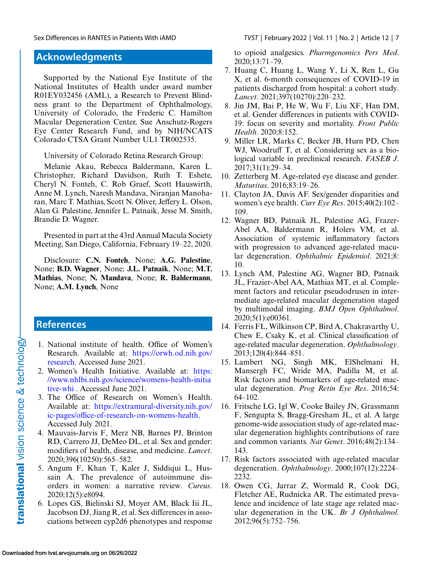## **Acknowledgments**

Supported by the National Eye Institute of the National Institutes of Health under award number R01EY032456 (AML), a Research to Prevent Blindness grant to the Department of Ophthalmology, University of Colorado, the Frederic C. Hamilton Macular Degeneration Center, Sue Anschutz-Rogers Eye Center Research Fund, and by NIH/NCATS Colorado CTSA Grant Number UL1 TR002535.

University of Colorado Retina Research Group:

Melanie Akau, Rebecca Baldermann, Karen L. Christopher, Richard Davidson, Ruth T. Eshete, Cheryl N. Fonteh, C. Rob Graef, Scott Hauswirth, Anne M. Lynch, Naresh Mandava, Niranjan Manoharan, Marc T. Mathias, Scott N. Oliver, Jeffery L. Olson, Alan G. Palestine, Jennifer L. Patnaik, Jesse M. Smith, Brandie D. Wagner.

Presented in part at the 43rd Annual Macula Society Meeting, San Diego, California, February 19–22, 2020.

Disclosure: **C.N. Fonteh**, None; **A.G. Palestine**, None; **B.D. Wagner**, None; **J.L. Patnaik**, None; **M.T. Mathias**, None; **N. Mandava**, None; **R. Baldermann**, None; **A.M. Lynch**, None

## **References**

- 1. National institute of health. Office of Women's Research. Available at: https://orwh.od.nih.gov/ [research. Accessed June 2021.](https://orwh.od.nih.gov/research)
- 2. Women's Health Initiative. Available at: https: [//www.nhlbi.nih.gov/science/womens-health-initia](https://www.nhlbi.nih.gov/science/womens-health-initiative-whi) tive-whi . Accessed June 2021.
- 3. The Office of Research on Women's Health. Available at: https://extramural-diversity.nih.gov/ [ic-pages/office-of-research-on-womens-health.](https://extramural-diversity.nih.gov/ic-pages/office-of-research-on-womens-health) Accessed July 2021.
- 4. Mauvais-Jarvis F, Merz NB, Barnes PJ, Brinton RD, Carrero JJ, DeMeo DL, et al. Sex and gender: modifiers of health, disease, and medicine. *Lancet*. 2020;396(10250):565–582.
- 5. Angum F, Khan T, Kaler J, Siddiqui L, Hussain A. The prevalence of autoimmune disorders in women: a narrative review. *Cureus*. 2020;12(5):e8094.
- 6. Lopes GS, Bielinski SJ, Moyer AM, Black Iii JL, Jacobson DJ, Jiang R, et al. Sex differences in associations between cyp2d6 phenotypes and response

<span id="page-6-0"></span>Sex Differences in RANTES in Patients With iAMD *TVST* | February 2022 | Vol. 11 | No. 2 | Article 12 | 7

to opioid analgesics. *Pharmgenomics Pers Med*. 2020;13:71–79.

- 7. Huang C, Huang L, Wang Y, Li X, Ren L, Gu X, et al. 6-month consequences of COVID-19 in patients discharged from hospital: a cohort study. *Lancet*. 2021;397(10270):220–232.
- 8. Jin JM, Bai P, He W, Wu F, Liu XF, Han DM, et al. Gender differences in patients with COVID-19: focus on severity and mortality. *Front Public Health*. 2020;8:152.
- 9. Miller LR, Marks C, Becker JB, Hurn PD, Chen WJ, Woodruff T, et al. Considering sex as a biological variable in preclinical research. *FASEB J*. 2017;31(1):29–34.
- 10. Zetterberg M. Age-related eye disease and gender. *Maturitas*. 2016;83:19–26.
- 11. Clayton JA, Davis AF. Sex/gender disparities and women's eye health. *Curr Eye Res*. 2015;40(2):102– 109.
- 12. Wagner BD, Patnaik JL, Palestine AG, Frazer-Abel AA, Baldermann R, Holers VM, et al. Association of systemic inflammatory factors with progression to advanced age-related macular degeneration. *Ophthalmic Epidemiol*. 2021;8: 10.
- 13. Lynch AM, Palestine AG, Wagner BD, Patnaik JL, Frazier-Abel AA, Mathias MT, et al. Complement factors and reticular pseudodrusen in intermediate age-related macular degeneration staged by multimodal imaging. *BMJ Open Ophthalmol*. 2020;5(1):e00361.
- 14. Ferris FL, Wilkinson CP, Bird A, Chakravarthy U, Chew E, Csaky K, et al. Clinical classification of age-related macular degeneration. *Ophthalmology*. 2013;120(4):844–851.
- 15. Lambert NG, Singh MK, ElShelmani H, Mansergh FC, Wride MA, Padilla M, et al. Risk factors and biomarkers of age-related macular degeneration. *Prog Retin Eye Res*. 2016;54: 64–102.
- 16. Fritsche LG, Igl W, Cooke Bailey JN, Grassmann F, Sengupta S, Bragg-Gresham JL, et al. A large genome-wide association study of age-related macular degeneration highlights contributions of rare and common variants. *Nat Genet*. 2016;48(2):134– 143.
- 17. Risk factors associated with age-related macular degeneration. *Ophthalmology*. 2000;107(12):2224– 2232.
- 18. Owen CG, Jarrar Z, Wormald R, Cook DG, Fletcher AE, Rudnicka AR. The estimated prevalence and incidence of late stage age related macular degeneration in the UK. *Br J Ophthalmol*. 2012;96(5):752–756.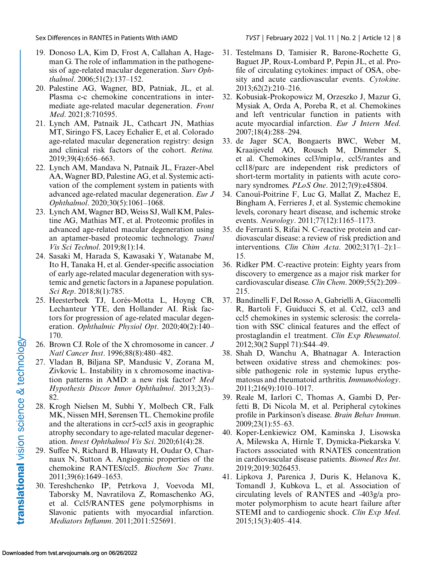- <span id="page-7-0"></span>19. Donoso LA, Kim D, Frost A, Callahan A, Hageman G. The role of inflammation in the pathogenesis of age-related macular degeneration. *Surv Ophthalmol*. 2006;51(2):137–152.
- 20. Palestine AG, Wagner, BD, Patniak, JL, et al. Plasma c-c chemokine concentrations in intermediate age-related macular degeneration. *Front Med*. 2021;8:710595.
- 21. Lynch AM, Patnaik JL, Cathcart JN, Mathias MT, Siringo FS, Lacey Echalier E, et al. Colorado age-related macular degeneration registry: design and clinical risk factors of the cohort. *Retina.* 2019;39(4):656–663.
- 22. Lynch AM, Mandava N, Patnaik JL, Frazer-Abel AA, Wagner BD, Palestine AG, et al. Systemic activation of the complement system in patients with advanced age-related macular degeneration. *Eur J Ophthalmol*. 2020;30(5):1061–1068.
- 23. Lynch AM, Wagner BD, Weiss SJ, Wall KM, Palestine AG, Mathias MT, et al. Proteomic profiles in advanced age-related macular degeneration using an aptamer-based proteomic technology. *Transl Vis Sci Technol*. 2019;8(1):14.
- 24. Sasaki M, Harada S, Kawasaki Y, Watanabe M, Ito H, Tanaka H, et al. Gender-specific association of early age-related macular degeneration with systemic and genetic factors in a Japanese population. *Sci Rep*. 2018;8(1):785.
- 25. Heesterbeek TJ, Lorés-Motta L, Hoyng CB, Lechanteur YTE, den Hollander AI. Risk factors for progression of age-related macular degeneration. *Ophthalmic Physiol Opt*. 2020;40(2):140– 170.
- 26. Brown CJ. Role of the X chromosome in cancer. *J Natl Cancer Inst*. 1996;88(8):480–482.
- 27. Vladan B, Biljana SP, Mandusic V, Zorana M, Zivkovic L. Instability in x chromosome inactivation patterns in AMD: a new risk factor? *Med Hypothesis Discov Innov Ophthalmol*. 2013;2(3)– 82.
- 28. Krogh Nielsen M, Subhi Y, Molbech CR, Falk MK, Nissen MH, Sørensen TL. Chemokine profile and the alterations in ccr5-ccl5 axis in geographic atrophy secondary to age-related macular degeneration. *Invest Ophthalmol Vis Sci*. 2020;61(4):28.
- 29. Suffee N, Richard B, Hlawaty H, Oudar O, Charnaux N, Sutton A. Angiogenic properties of the chemokine RANTES/ccl5. *Biochem Soc Trans*. 2011;39(6):1649–1653.
- 30. Tereshchenko IP, Petrkova J, Voevoda MI, Taborsky M, Navratilova Z, Romaschenko AG, et al. Ccl5/RANTES gene polymorphisms in Slavonic patients with myocardial infarction. *Mediators Inflamm*. 2011;2011:525691.
- 31. Testelmans D, Tamisier R, Barone-Rochette G, Baguet JP, Roux-Lombard P, Pepin JL, et al. Profile of circulating cytokines: impact of OSA, obesity and acute cardiovascular events. *Cytokine*. 2013;62(2):210–216.
- 32. Kobusiak-Prokopowicz M, Orzeszko J, Mazur G, Mysiak A, Orda A, Poreba R, et al. Chemokines and left ventricular function in patients with acute myocardial infarction. *Eur J Intern Med*. 2007;18(4):288–294.
- 33. de Jager SCA, Bongaerts BWC, Weber M, Kraaijeveld AO, Rousch M, Dimmeler S, et al. Chemokines ccl3/mip1α, ccl5/rantes and ccl18/parc are independent risk predictors of short-term mortality in patients with acute coronary syndromes. *PLoS One*. 2012;7(9):e45804.
- 34. Canouï-Poitrine F, Luc G, Mallat Z, Machez E, Bingham A, Ferrieres J, et al. Systemic chemokine levels, coronary heart disease, and ischemic stroke events. *Neurology*. 2011;77(12):1165–1173.
- 35. de Ferranti S, Rifai N. C-reactive protein and cardiovascular disease: a review of risk prediction and interventions. *Clin Chim Acta*. 2002;317(1–2):1– 15.
- 36. Ridker PM. C-reactive protein: Eighty years from discovery to emergence as a major risk marker for cardiovascular disease. *Clin Chem*. 2009;55(2):209– 215.
- 37. Bandinelli F, Del Rosso A, Gabrielli A, Giacomelli R, Bartoli F, Guiducci S, et al. Ccl2, ccl3 and ccl5 chemokines in systemic sclerosis: the correlation with SSC clinical features and the effect of prostaglandin e1 treatment. *Clin Exp Rheumatol*. 2012;30(2 Suppl 71):S44–49.
- 38. Shah D, Wanchu A, Bhatnagar A. Interaction between oxidative stress and chemokines: possible pathogenic role in systemic lupus erythematosus and rheumatoid arthritis. *Immunobiology*. 2011;216(9):1010–1017.
- 39. Reale M, Iarlori C, Thomas A, Gambi D, Perfetti B, Di Nicola M, et al. Peripheral cytokines profile in Parkinson's disease. *Brain Behav Immun*. 2009;23(1):55–63.
- 40. Koper-Lenkiewicz OM, Kaminska J, Lisowska A, Milewska A, Hirnle T, Dymicka-Piekarska V. Factors associated with RNATES concentration in cardiovascular disease patients. *Biomed Res Int*. 2019;2019:3026453.
- 41. Lipkova J, Parenica J, Duris K, Helanova K, Tomandl J, Kubkova L, et al. Association of circulating levels of RANTES and -403g/a promoter polymorphism to acute heart failure after STEMI and to cardiogenic shock. *Clin Exp Med*. 2015;15(3):405–414.